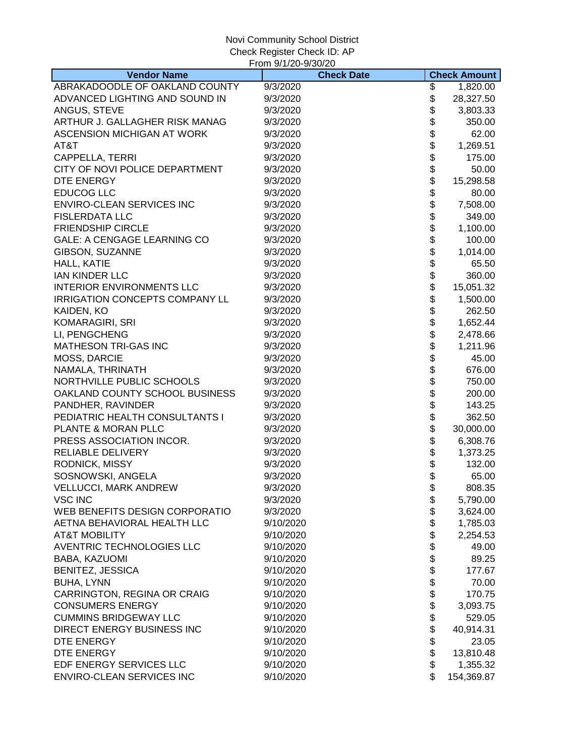|                                    | From 9/1/20-9/30/20 |                |                     |
|------------------------------------|---------------------|----------------|---------------------|
| <b>Vendor Name</b>                 | <b>Check Date</b>   |                | <b>Check Amount</b> |
| ABRAKADOODLE OF OAKLAND COUNTY     | 9/3/2020            | \$             | 1,820.00            |
| ADVANCED LIGHTING AND SOUND IN     | 9/3/2020            | \$             | 28,327.50           |
| ANGUS, STEVE                       | 9/3/2020            | \$             | 3,803.33            |
| ARTHUR J. GALLAGHER RISK MANAG     | 9/3/2020            | \$             | 350.00              |
| ASCENSION MICHIGAN AT WORK         | 9/3/2020            | \$             | 62.00               |
| AT&T                               | 9/3/2020            | \$             | 1,269.51            |
| CAPPELLA, TERRI                    | 9/3/2020            | \$             | 175.00              |
| CITY OF NOVI POLICE DEPARTMENT     | 9/3/2020            | \$<br>\$       | 50.00               |
| DTE ENERGY                         | 9/3/2020            |                | 15,298.58           |
| <b>EDUCOG LLC</b>                  | 9/3/2020            | \$             | 80.00               |
| <b>ENVIRO-CLEAN SERVICES INC</b>   | 9/3/2020            |                | 7,508.00            |
| <b>FISLERDATA LLC</b>              | 9/3/2020            |                | 349.00              |
| <b>FRIENDSHIP CIRCLE</b>           | 9/3/2020            |                | 1,100.00            |
| <b>GALE: A CENGAGE LEARNING CO</b> | 9/3/2020            |                | 100.00              |
| GIBSON, SUZANNE                    | 9/3/2020            |                | 1,014.00            |
| HALL, KATIE                        | 9/3/2020            |                | 65.50               |
| <b>IAN KINDER LLC</b>              | 9/3/2020            |                | 360.00              |
| <b>INTERIOR ENVIRONMENTS LLC</b>   | 9/3/2020            | <b>8888888</b> | 15,051.32           |
| IRRIGATION CONCEPTS COMPANY LL     | 9/3/2020            | \$             | 1,500.00            |
| KAIDEN, KO                         | 9/3/2020            | \$             | 262.50              |
| <b>KOMARAGIRI, SRI</b>             | 9/3/2020            | \$             | 1,652.44            |
| LI, PENGCHENG                      | 9/3/2020            | \$             | 2,478.66            |
| <b>MATHESON TRI-GAS INC</b>        | 9/3/2020            | \$             | 1,211.96            |
| MOSS, DARCIE                       | 9/3/2020            | \$             | 45.00               |
| NAMALA, THRINATH                   | 9/3/2020            | \$             | 676.00              |
| NORTHVILLE PUBLIC SCHOOLS          | 9/3/2020            | \$             | 750.00              |
| OAKLAND COUNTY SCHOOL BUSINESS     | 9/3/2020            |                | 200.00              |
| PANDHER, RAVINDER                  | 9/3/2020            | <b>8888888</b> | 143.25              |
| PEDIATRIC HEALTH CONSULTANTS I     | 9/3/2020            |                | 362.50              |
| PLANTE & MORAN PLLC                | 9/3/2020            |                | 30,000.00           |
| PRESS ASSOCIATION INCOR.           | 9/3/2020            |                | 6,308.76            |
| RELIABLE DELIVERY                  | 9/3/2020            |                | 1,373.25            |
| RODNICK, MISSY                     | 9/3/2020            |                | 132.00              |
| SOSNOWSKI, ANGELA                  | 9/3/2020            |                | 65.00               |
| VELLUCCI, MARK ANDREW              | 9/3/2020            | \$             | 808.35              |
| <b>VSC INC</b>                     | 9/3/2020            | \$             | 5,790.00            |
| WEB BENEFITS DESIGN CORPORATIO     | 9/3/2020            | \$             | 3,624.00            |
| AETNA BEHAVIORAL HEALTH LLC        | 9/10/2020           | \$             | 1,785.03            |
| <b>AT&amp;T MOBILITY</b>           | 9/10/2020           | \$             | 2,254.53            |
| AVENTRIC TECHNOLOGIES LLC          | 9/10/2020           | \$             | 49.00               |
| BABA, KAZUOMI                      | 9/10/2020           | \$             | 89.25               |
| <b>BENITEZ, JESSICA</b>            | 9/10/2020           | \$             | 177.67              |
| <b>BUHA, LYNN</b>                  | 9/10/2020           | \$             | 70.00               |
| CARRINGTON, REGINA OR CRAIG        | 9/10/2020           | \$             | 170.75              |
| <b>CONSUMERS ENERGY</b>            | 9/10/2020           | \$             | 3,093.75            |
| <b>CUMMINS BRIDGEWAY LLC</b>       | 9/10/2020           | \$             | 529.05              |
| DIRECT ENERGY BUSINESS INC         | 9/10/2020           | \$             | 40,914.31           |
| DTE ENERGY                         | 9/10/2020           | \$             | 23.05               |
| DTE ENERGY                         | 9/10/2020           | \$             | 13,810.48           |
| EDF ENERGY SERVICES LLC            | 9/10/2020           | \$             | 1,355.32            |
| ENVIRO-CLEAN SERVICES INC          | 9/10/2020           | \$             | 154,369.87          |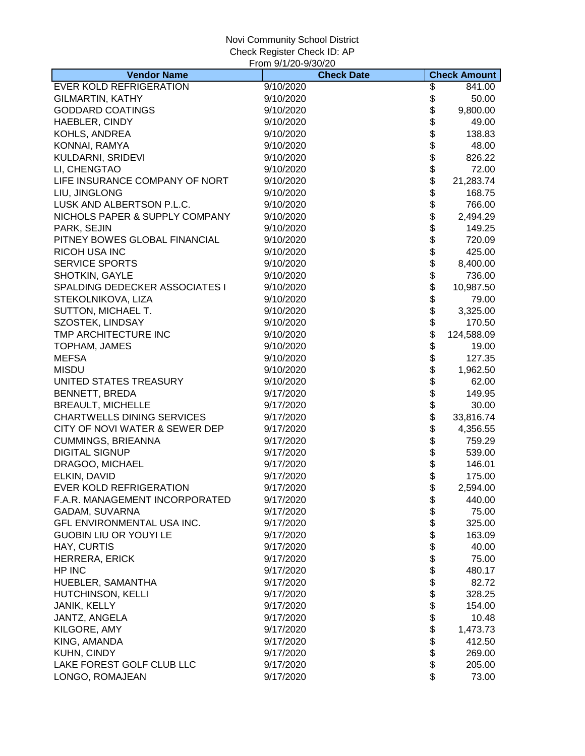|                                   | From 9/1/20-9/30/20 |          |                     |
|-----------------------------------|---------------------|----------|---------------------|
| <b>Vendor Name</b>                | <b>Check Date</b>   |          | <b>Check Amount</b> |
| <b>EVER KOLD REFRIGERATION</b>    | 9/10/2020           | \$       | 841.00              |
| <b>GILMARTIN, KATHY</b>           | 9/10/2020           | \$       | 50.00               |
| <b>GODDARD COATINGS</b>           | 9/10/2020           | \$       | 9,800.00            |
| HAEBLER, CINDY                    | 9/10/2020           | \$       | 49.00               |
| KOHLS, ANDREA                     | 9/10/2020           | \$       | 138.83              |
| KONNAI, RAMYA                     | 9/10/2020           | \$       | 48.00               |
| KULDARNI, SRIDEVI                 | 9/10/2020           | \$       | 826.22              |
| LI, CHENGTAO                      | 9/10/2020           | \$       | 72.00               |
| LIFE INSURANCE COMPANY OF NORT    | 9/10/2020           | \$       | 21,283.74           |
| LIU, JINGLONG                     | 9/10/2020           | \$       | 168.75              |
| LUSK AND ALBERTSON P.L.C.         | 9/10/2020           | \$       | 766.00              |
| NICHOLS PAPER & SUPPLY COMPANY    | 9/10/2020           | \$       | 2,494.29            |
| PARK, SEJIN                       | 9/10/2020           | \$       | 149.25              |
| PITNEY BOWES GLOBAL FINANCIAL     | 9/10/2020           |          | 720.09              |
| <b>RICOH USA INC</b>              | 9/10/2020           |          | 425.00              |
| <b>SERVICE SPORTS</b>             | 9/10/2020           | \$\$     | 8,400.00            |
| SHOTKIN, GAYLE                    | 9/10/2020           | \$       | 736.00              |
| SPALDING DEDECKER ASSOCIATES I    | 9/10/2020           | \$       | 10,987.50           |
| STEKOLNIKOVA, LIZA                | 9/10/2020           | \$       | 79.00               |
|                                   |                     |          |                     |
| SUTTON, MICHAEL T.                | 9/10/2020           | \$       | 3,325.00            |
| SZOSTEK, LINDSAY                  | 9/10/2020           | \$       | 170.50              |
| TMP ARCHITECTURE INC              | 9/10/2020           | \$       | 124,588.09          |
| TOPHAM, JAMES                     | 9/10/2020           | \$       | 19.00               |
| <b>MEFSA</b>                      | 9/10/2020           | \$       | 127.35              |
| <b>MISDU</b>                      | 9/10/2020           | \$       | 1,962.50            |
| UNITED STATES TREASURY            | 9/10/2020           | \$       | 62.00               |
| <b>BENNETT, BREDA</b>             | 9/17/2020           | \$       | 149.95              |
| <b>BREAULT, MICHELLE</b>          | 9/17/2020           | \$<br>\$ | 30.00               |
| <b>CHARTWELLS DINING SERVICES</b> | 9/17/2020           |          | 33,816.74           |
| CITY OF NOVI WATER & SEWER DEP    | 9/17/2020           | \$       | 4,356.55            |
| <b>CUMMINGS, BRIEANNA</b>         | 9/17/2020           | \$<br>\$ | 759.29              |
| <b>DIGITAL SIGNUP</b>             | 9/17/2020           |          | 539.00              |
| DRAGOO, MICHAEL                   | 9/17/2020           | \$<br>\$ | 146.01              |
| ELKIN, DAVID                      | 9/17/2020           |          | 175.00              |
| EVER KOLD REFRIGERATION           | 9/17/2020           | \$       | 2,594.00            |
| F.A.R. MANAGEMENT INCORPORATED    | 9/17/2020           | \$       | 440.00              |
| GADAM, SUVARNA                    | 9/17/2020           | \$       | 75.00               |
| GFL ENVIRONMENTAL USA INC.        | 9/17/2020           | \$       | 325.00              |
| <b>GUOBIN LIU OR YOUYI LE</b>     | 9/17/2020           | \$       | 163.09              |
| HAY, CURTIS                       | 9/17/2020           | \$       | 40.00               |
| <b>HERRERA, ERICK</b>             | 9/17/2020           | \$       | 75.00               |
| HP INC                            | 9/17/2020           | \$       | 480.17              |
| HUEBLER, SAMANTHA                 | 9/17/2020           | \$       | 82.72               |
| HUTCHINSON, KELLI                 | 9/17/2020           | \$       | 328.25              |
| JANIK, KELLY                      | 9/17/2020           | \$       | 154.00              |
| JANTZ, ANGELA                     | 9/17/2020           | \$       | 10.48               |
| KILGORE, AMY                      | 9/17/2020           | \$       | 1,473.73            |
| KING, AMANDA                      | 9/17/2020           | \$       | 412.50              |
| KUHN, CINDY                       | 9/17/2020           | \$       | 269.00              |
| LAKE FOREST GOLF CLUB LLC         | 9/17/2020           | \$       | 205.00              |
| LONGO, ROMAJEAN                   | 9/17/2020           | \$       | 73.00               |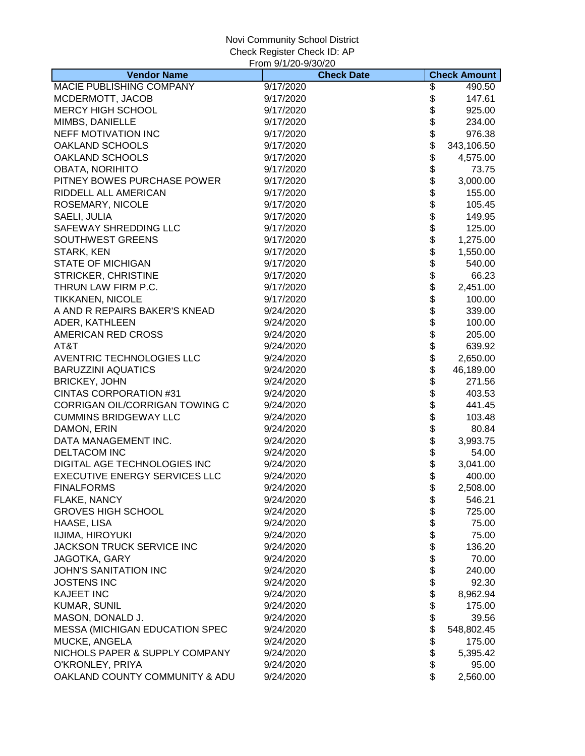|                                       | From 9/1/20-9/30/20 |                |                     |
|---------------------------------------|---------------------|----------------|---------------------|
| <b>Vendor Name</b>                    | <b>Check Date</b>   |                | <b>Check Amount</b> |
| MACIE PUBLISHING COMPANY              | 9/17/2020           | \$             | 490.50              |
| MCDERMOTT, JACOB                      | 9/17/2020           | \$             | 147.61              |
| <b>MERCY HIGH SCHOOL</b>              | 9/17/2020           | \$             | 925.00              |
| MIMBS, DANIELLE                       | 9/17/2020           | \$             | 234.00              |
| NEFF MOTIVATION INC                   | 9/17/2020           | \$             | 976.38              |
| <b>OAKLAND SCHOOLS</b>                | 9/17/2020           | \$             | 343,106.50          |
| OAKLAND SCHOOLS                       | 9/17/2020           | \$             | 4,575.00            |
| <b>OBATA, NORIHITO</b>                | 9/17/2020           | \$<br>\$       | 73.75               |
| PITNEY BOWES PURCHASE POWER           | 9/17/2020           |                | 3,000.00            |
| RIDDELL ALL AMERICAN                  | 9/17/2020           | \$             | 155.00              |
| ROSEMARY, NICOLE                      | 9/17/2020           |                | 105.45              |
| SAELI, JULIA                          | 9/17/2020           |                | 149.95              |
| SAFEWAY SHREDDING LLC                 | 9/17/2020           |                | 125.00              |
| <b>SOUTHWEST GREENS</b>               | 9/17/2020           |                | 1,275.00            |
| STARK, KEN                            | 9/17/2020           |                | 1,550.00            |
| <b>STATE OF MICHIGAN</b>              | 9/17/2020           |                | 540.00              |
| STRICKER, CHRISTINE                   | 9/17/2020           | \$\$\$\$\$\$\$ | 66.23               |
| THRUN LAW FIRM P.C.                   | 9/17/2020           | \$             | 2,451.00            |
| <b>TIKKANEN, NICOLE</b>               | 9/17/2020           | \$             | 100.00              |
| A AND R REPAIRS BAKER'S KNEAD         | 9/24/2020           | \$             | 339.00              |
| ADER, KATHLEEN                        | 9/24/2020           | \$             | 100.00              |
| AMERICAN RED CROSS                    | 9/24/2020           | \$             | 205.00              |
| AT&T                                  | 9/24/2020           | \$             | 639.92              |
| AVENTRIC TECHNOLOGIES LLC             | 9/24/2020           | \$             | 2,650.00            |
| <b>BARUZZINI AQUATICS</b>             | 9/24/2020           | \$             | 46,189.00           |
| <b>BRICKEY, JOHN</b>                  | 9/24/2020           | \$             | 271.56              |
| <b>CINTAS CORPORATION #31</b>         | 9/24/2020           |                | 403.53              |
| CORRIGAN OIL/CORRIGAN TOWING C        | 9/24/2020           | \$\$           | 441.45              |
| <b>CUMMINS BRIDGEWAY LLC</b>          | 9/24/2020           |                | 103.48              |
| DAMON, ERIN                           | 9/24/2020           |                | 80.84               |
| DATA MANAGEMENT INC.                  | 9/24/2020           |                | 3,993.75            |
| <b>DELTACOM INC</b>                   | 9/24/2020           |                | 54.00               |
| DIGITAL AGE TECHNOLOGIES INC          | 9/24/2020           |                | 3,041.00            |
| <b>EXECUTIVE ENERGY SERVICES LLC</b>  | 9/24/2020           | \$\$\$\$\$     | 400.00              |
| <b>FINALFORMS</b>                     | 9/24/2020           | \$             | 2,508.00            |
| FLAKE, NANCY                          | 9/24/2020           | \$             | 546.21              |
| <b>GROVES HIGH SCHOOL</b>             | 9/24/2020           | \$             | 725.00              |
| HAASE, LISA                           | 9/24/2020           | \$             | 75.00               |
| IIJIMA, HIROYUKI                      | 9/24/2020           | \$             | 75.00               |
| JACKSON TRUCK SERVICE INC             | 9/24/2020           | \$             | 136.20              |
| JAGOTKA, GARY                         | 9/24/2020           | \$             | 70.00               |
| <b>JOHN'S SANITATION INC</b>          | 9/24/2020           | \$             | 240.00              |
| <b>JOSTENS INC</b>                    | 9/24/2020           | \$             | 92.30               |
| <b>KAJEET INC</b>                     | 9/24/2020           | \$             | 8,962.94            |
| <b>KUMAR, SUNIL</b>                   | 9/24/2020           | \$             | 175.00              |
| MASON, DONALD J.                      | 9/24/2020           | \$             | 39.56               |
| <b>MESSA (MICHIGAN EDUCATION SPEC</b> | 9/24/2020           | \$             | 548,802.45          |
| MUCKE, ANGELA                         | 9/24/2020           | \$             | 175.00              |
| NICHOLS PAPER & SUPPLY COMPANY        | 9/24/2020           | \$             | 5,395.42            |
| O'KRONLEY, PRIYA                      | 9/24/2020           | \$             | 95.00               |
| OAKLAND COUNTY COMMUNITY & ADU        | 9/24/2020           | \$             | 2,560.00            |
|                                       |                     |                |                     |